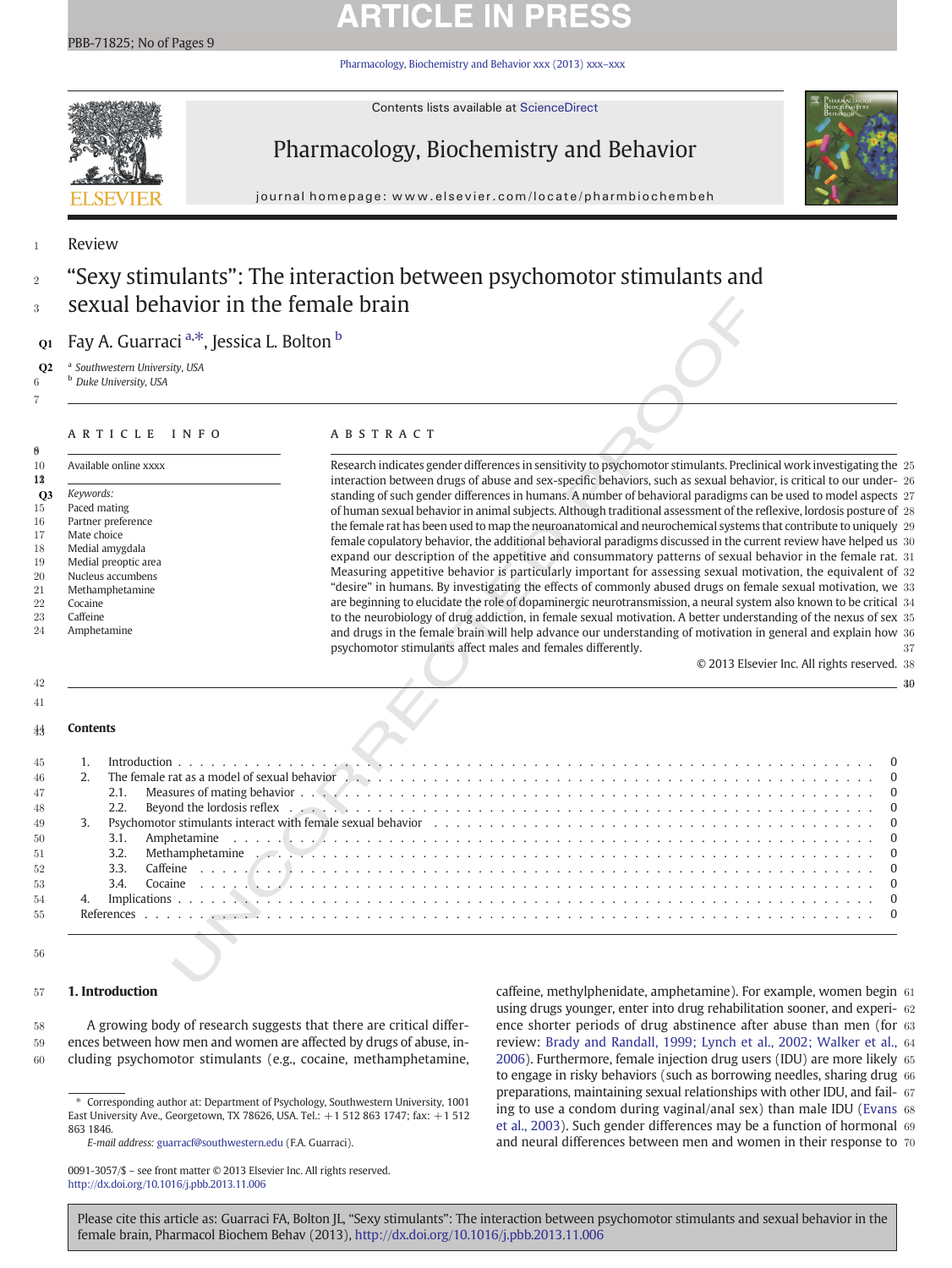# **ARTICLE IN PRI**

[Pharmacology, Biochemistry and Behavior xxx \(2013\) xxx](http://dx.doi.org/10.1016/j.pbb.2013.11.006)–xxx



Contents lists available at ScienceDirect

# Pharmacology, Biochemistry and Behavior



journal homepage: www.elsevier.com/locate/pharmbiochembeh

1 Review

# "Sexy stimulants": The interaction between psychomotor stimulants and <sup>3</sup> sexual behavior in the female brain

7

# ARTICLE INFO ABSTRACT

### $\frac{8}{10}$ Available online xxxx 12 Keywords: 15  $O<sub>3</sub>$ Paced mating 16 Partner preference 17 Mate choice 18 Medial amygdala<br>19 Medial preoptic a 19 Medial preoptic area<br>20 Nucleus accumbens Nucleus accumbens 21 Methamphetamine<br>22 Cocaine 22 Cocaine<br>23 Caffeine Caffeine 24 Amphetamine

© 2013 Elsevier Inc. All rights reserved. 38

3940

# 42

# 41

56

# 4344 Contents

| <sup>a</sup> Southwestern University, USA<br><sup>b</sup> Duke University, USA                                                                                                        |                                                                                                                                                                                                                                                                                                                                                                                                                                                                                                                                                                                                                                                                                                                                                                                                                                                                                                                                                                                                                                                                                                                                                                                                                                                                                                                                                                                                                                                                             |  |
|---------------------------------------------------------------------------------------------------------------------------------------------------------------------------------------|-----------------------------------------------------------------------------------------------------------------------------------------------------------------------------------------------------------------------------------------------------------------------------------------------------------------------------------------------------------------------------------------------------------------------------------------------------------------------------------------------------------------------------------------------------------------------------------------------------------------------------------------------------------------------------------------------------------------------------------------------------------------------------------------------------------------------------------------------------------------------------------------------------------------------------------------------------------------------------------------------------------------------------------------------------------------------------------------------------------------------------------------------------------------------------------------------------------------------------------------------------------------------------------------------------------------------------------------------------------------------------------------------------------------------------------------------------------------------------|--|
| ARTICLE INFO                                                                                                                                                                          | <b>ABSTRACT</b>                                                                                                                                                                                                                                                                                                                                                                                                                                                                                                                                                                                                                                                                                                                                                                                                                                                                                                                                                                                                                                                                                                                                                                                                                                                                                                                                                                                                                                                             |  |
| Available online xxxx<br>Keywords:<br>Paced mating<br>Partner preference<br>Mate choice<br>Medial amygdala<br>Medial preoptic area<br>Nucleus accumbens<br>Methamphetamine<br>Cocaine | Research indicates gender differences in sensitivity to psychomotor stimulants. Preclinical work investigating the<br>interaction between drugs of abuse and sex-specific behaviors, such as sexual behavior, is critical to our under-<br>standing of such gender differences in humans. A number of behavioral paradigms can be used to model aspects<br>of human sexual behavior in animal subjects. Although traditional assessment of the reflexive, lordosis posture of<br>the female rat has been used to map the neuroanatomical and neurochemical systems that contribute to uniquely<br>female copulatory behavior, the additional behavioral paradigms discussed in the current review have helped us<br>expand our description of the appetitive and consummatory patterns of sexual behavior in the female rat.<br>Measuring appetitive behavior is particularly important for assessing sexual motivation, the equivalent of<br>"desire" in humans. By investigating the effects of commonly abused drugs on female sexual motivation, we<br>are beginning to elucidate the role of dopaminergic neurotransmission, a neural system also known to be critical<br>to the neurobiology of drug addiction, in female sexual motivation. A better understanding of the nexus of sex<br>and drugs in the female brain will help advance our understanding of motivation in general and explain how<br>psychomotor stimulants affect males and females differently. |  |
| Caffeine<br>Amphetamine                                                                                                                                                               |                                                                                                                                                                                                                                                                                                                                                                                                                                                                                                                                                                                                                                                                                                                                                                                                                                                                                                                                                                                                                                                                                                                                                                                                                                                                                                                                                                                                                                                                             |  |
|                                                                                                                                                                                       | © 2013 Elsevier Inc. All rights reserved.                                                                                                                                                                                                                                                                                                                                                                                                                                                                                                                                                                                                                                                                                                                                                                                                                                                                                                                                                                                                                                                                                                                                                                                                                                                                                                                                                                                                                                   |  |
|                                                                                                                                                                                       |                                                                                                                                                                                                                                                                                                                                                                                                                                                                                                                                                                                                                                                                                                                                                                                                                                                                                                                                                                                                                                                                                                                                                                                                                                                                                                                                                                                                                                                                             |  |
| 1.                                                                                                                                                                                    |                                                                                                                                                                                                                                                                                                                                                                                                                                                                                                                                                                                                                                                                                                                                                                                                                                                                                                                                                                                                                                                                                                                                                                                                                                                                                                                                                                                                                                                                             |  |
| 2.                                                                                                                                                                                    | The female rat as a model of sexual behavior the contract of the contract of the second term in the female rat as a model of sexual behavior that is a contract of the contract of the contract of the form in the form in the                                                                                                                                                                                                                                                                                                                                                                                                                                                                                                                                                                                                                                                                                                                                                                                                                                                                                                                                                                                                                                                                                                                                                                                                                                              |  |
| 2.1.                                                                                                                                                                                  |                                                                                                                                                                                                                                                                                                                                                                                                                                                                                                                                                                                                                                                                                                                                                                                                                                                                                                                                                                                                                                                                                                                                                                                                                                                                                                                                                                                                                                                                             |  |
| 2.2.                                                                                                                                                                                  |                                                                                                                                                                                                                                                                                                                                                                                                                                                                                                                                                                                                                                                                                                                                                                                                                                                                                                                                                                                                                                                                                                                                                                                                                                                                                                                                                                                                                                                                             |  |
| 3.                                                                                                                                                                                    |                                                                                                                                                                                                                                                                                                                                                                                                                                                                                                                                                                                                                                                                                                                                                                                                                                                                                                                                                                                                                                                                                                                                                                                                                                                                                                                                                                                                                                                                             |  |
| 3.1.                                                                                                                                                                                  |                                                                                                                                                                                                                                                                                                                                                                                                                                                                                                                                                                                                                                                                                                                                                                                                                                                                                                                                                                                                                                                                                                                                                                                                                                                                                                                                                                                                                                                                             |  |
| 3.2.<br>3.3.                                                                                                                                                                          |                                                                                                                                                                                                                                                                                                                                                                                                                                                                                                                                                                                                                                                                                                                                                                                                                                                                                                                                                                                                                                                                                                                                                                                                                                                                                                                                                                                                                                                                             |  |
| 3.4.                                                                                                                                                                                  |                                                                                                                                                                                                                                                                                                                                                                                                                                                                                                                                                                                                                                                                                                                                                                                                                                                                                                                                                                                                                                                                                                                                                                                                                                                                                                                                                                                                                                                                             |  |
| <b>Contents</b><br>4.                                                                                                                                                                 |                                                                                                                                                                                                                                                                                                                                                                                                                                                                                                                                                                                                                                                                                                                                                                                                                                                                                                                                                                                                                                                                                                                                                                                                                                                                                                                                                                                                                                                                             |  |

# 57 1. Introduction

58 A growing body of research suggests that there are critical differ-59 ences between how men and women are affected by drugs of abuse, in-60 cluding psychomotor stimulants (e.g., cocaine, methamphetamine,

E-mail address: [guarracf@southwestern.edu](mailto:guarracf@southwestern.edu) (F.A. Guarraci).

caffeine, methylphenidate, amphetamine). For example, women begin 61 using drugs younger, enter into drug rehabilitation sooner, and experi- 62 ence shorter periods of drug abstinence after abuse than men (for 63 review: [Brady and Randall, 1999; Lynch et al., 2002; Walker et al.,](#page-7-0) 64 [2006](#page-7-0)). Furthermore, female injection drug users (IDU) are more likely 65 to engage in risky behaviors (such as borrowing needles, sharing drug 66 preparations, maintaining sexual relationships with other IDU, and fail- 67 ing to use a condom during vaginal/anal sex) than male IDU [\(Evans](#page-7-0) 68 [et al., 2003\)](#page-7-0). Such gender differences may be a function of hormonal 69 and neural differences between men and women in their response to 70

<sup>⁎</sup> Corresponding author at: Department of Psychology, Southwestern University, 1001 East University Ave., Georgetown, TX 78626, USA. Tel.: +1 512 863 1747; fax: +1 512 863 1846.

<sup>0091-3057/\$</sup> – see front matter © 2013 Elsevier Inc. All rights reserved. <http://dx.doi.org/10.1016/j.pbb.2013.11.006>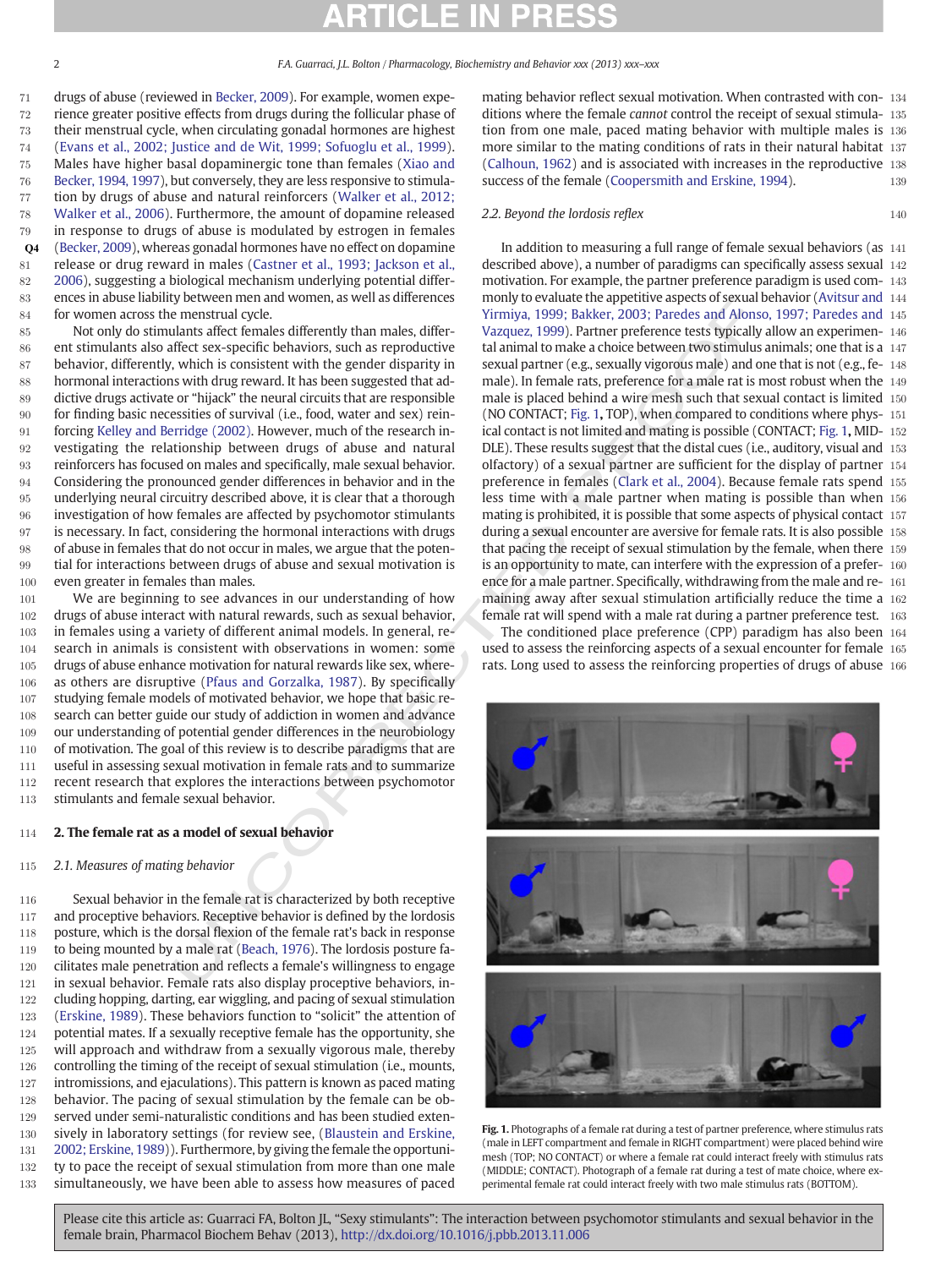<span id="page-1-0"></span>

 drugs of abuse (reviewed in [Becker, 2009](#page-7-0)). For example, women expe- rience greater positive effects from drugs during the follicular phase of their menstrual cycle, when circulating gonadal hormones are highest [\(Evans et al., 2002; Justice and de Wit, 1999; Sofuoglu et al., 1999](#page-7-0)). Males have higher basal dopaminergic tone than females [\(Xiao and](#page-8-0) [Becker, 1994, 1997\)](#page-8-0), but conversely, they are less responsive to stimula- tion by drugs of abuse and natural reinforcers ([Walker et al., 2012;](#page-8-0) [Walker et al., 2006\)](#page-8-0). Furthermore, the amount of dopamine released in response to drugs of abuse is modulated by estrogen in females Q4 [\(Becker, 2009](#page-7-0)), whereas gonadal hormones have no effect on dopamine release or drug reward in males [\(Castner et al., 1993; Jackson et al.,](#page-7-0) [2006\)](#page-7-0), suggesting a biological mechanism underlying potential differ- ences in abuse liability between men and women, as well as differences for women across the menstrual cycle.

 Not only do stimulants affect females differently than males, differ- ent stimulants also affect sex-specific behaviors, such as reproductive behavior, differently, which is consistent with the gender disparity in hormonal interactions with drug reward. It has been suggested that ad- dictive drugs activate or "hijack" the neural circuits that are responsible for finding basic necessities of survival (i.e., food, water and sex) rein- forcing [Kelley and Berridge \(2002\)](#page-7-0). However, much of the research in- vestigating the relationship between drugs of abuse and natural reinforcers has focused on males and specifically, male sexual behavior. Considering the pronounced gender differences in behavior and in the underlying neural circuitry described above, it is clear that a thorough investigation of how females are affected by psychomotor stimulants is necessary. In fact, considering the hormonal interactions with drugs 98 of abuse in females that do not occur in males, we argue that the poten- tial for interactions between drugs of abuse and sexual motivation is even greater in females than males.

 We are beginning to see advances in our understanding of how drugs of abuse interact with natural rewards, such as sexual behavior, in females using a variety of different animal models. In general, re- search in animals is consistent with observations in women: some drugs of abuse enhance motivation for natural rewards like sex, where- as others are disruptive (Pfaus and Gorzalka, 1987). By specifically studying female models of motivated behavior, we hope that basic re- search can better guide our study of addiction in women and advance our understanding of potential gender differences in the neurobiology of motivation. The goal of this review is to describe paradigms that are useful in assessing sexual motivation in female rats and to summarize recent research that explores the interactions between psychomotor stimulants and female sexual behavior.

# 114 2. The female rat as a model of sexual behavior

## 115 2.1. Measures of mating behavior

116 Sexual behavior in the female rat is characterized by both receptive 117 and proceptive behaviors. Receptive behavior is defined by the lordosis posture, which is the dorsal flexion of the female rat's back in response 119 to being mounted by a male rat (Beach, 1976). The lordosis posture fa- cilitates male penetration and reflects a female's willingness to engage in sexual behavior. Female rats also display proceptive behaviors, in- cluding hopping, darting, ear wiggling, and pacing of sexual stimulation [\(Erskine, 1989\)](#page-7-0). These behaviors function to "solicit" the attention of potential mates. If a sexually receptive female has the opportunity, she will approach and withdraw from a sexually vigorous male, thereby controlling the timing of the receipt of sexual stimulation (i.e., mounts, intromissions, and ejaculations). This pattern is known as paced mating behavior. The pacing of sexual stimulation by the female can be ob- served under semi-naturalistic conditions and has been studied exten- sively in laboratory settings (for review see, ([Blaustein and Erskine,](#page-7-0) [2002; Erskine, 1989\)](#page-7-0)). Furthermore, by giving the female the opportuni- ty to pace the receipt of sexual stimulation from more than one male simultaneously, we have been able to assess how measures of paced mating behavior reflect sexual motivation. When contrasted with con- 134 ditions where the female cannot control the receipt of sexual stimula- 135 tion from one male, paced mating behavior with multiple males is 136 more similar to the mating conditions of rats in their natural habitat 137 [\(Calhoun, 1962\)](#page-7-0) and is associated with increases in the reproductive 138 success of the female [\(Coopersmith and Erskine, 1994\)](#page-7-0). 139

# 2.2. Beyond the lordosis reflex 140

y between the main women is were as unrelated to the spectra considering the spectra of the main and spectral in the main of the main of the spectra of the main of the spectra of the main spectra of the main of the spectra In addition to measuring a full range of female sexual behaviors (as 141 described above), a number of paradigms can specifically assess sexual 142 motivation. For example, the partner preference paradigm is used com- 143 monly to evaluate the appetitive aspects of sexual behavior [\(Avitsur and](#page-7-0) 144 [Yirmiya, 1999; Bakker, 2003; Paredes and Alonso, 1997; Paredes and](#page-7-0) 145 Vazquez, 1999). Partner preference tests typically allow an experimen- 146 tal animal to make a choice between two stimulus animals; one that is a 147 sexual partner (e.g., sexually vigorous male) and one that is not (e.g., fe- 148 male). In female rats, preference for a male rat is most robust when the 149 male is placed behind a wire mesh such that sexual contact is limited 150 (NO CONTACT; Fig. 1, TOP), when compared to conditions where phys- 151 ical contact is not limited and mating is possible (CONTACT; Fig. 1, MID- 152 DLE). These results suggest that the distal cues (i.e., auditory, visual and 153 olfactory) of a sexual partner are sufficient for the display of partner 154 preference in females (Clark et al., 2004). Because female rats spend 155 less time with a male partner when mating is possible than when 156 mating is prohibited, it is possible that some aspects of physical contact 157 during a sexual encounter are aversive for female rats. It is also possible 158 that pacing the receipt of sexual stimulation by the female, when there 159 is an opportunity to mate, can interfere with the expression of a prefer- 160 ence for a male partner. Specifically, withdrawing from the male and re- 161 maining away after sexual stimulation artificially reduce the time a 162 female rat will spend with a male rat during a partner preference test. 163

The conditioned place preference (CPP) paradigm has also been 164 used to assess the reinforcing aspects of a sexual encounter for female 165 rats. Long used to assess the reinforcing properties of drugs of abuse 166



Fig. 1. Photographs of a female rat during a test of partner preference, where stimulus rats (male in LEFT compartment and female in RIGHT compartment) were placed behind wire mesh (TOP; NO CONTACT) or where a female rat could interact freely with stimulus rats (MIDDLE; CONTACT). Photograph of a female rat during a test of mate choice, where experimental female rat could interact freely with two male stimulus rats (BOTTOM).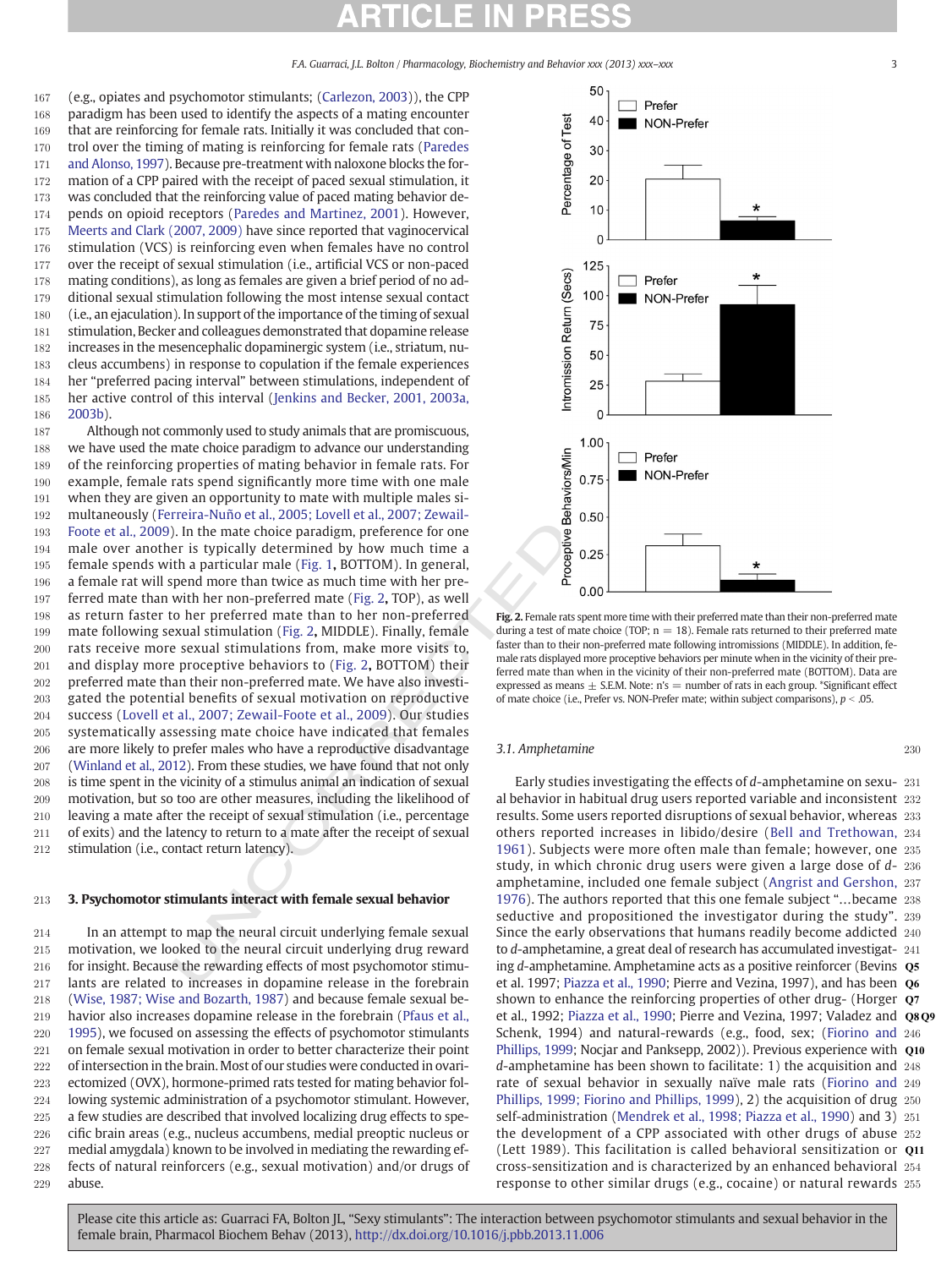(e.g., opiates and psychomotor stimulants; ([Carlezon, 2003](#page-7-0))), the CPP paradigm has been used to identify the aspects of a mating encounter that are reinforcing for female rats. Initially it was concluded that con- trol over the timing of mating is reinforcing for female rats [\(Paredes](#page-8-0) [and Alonso, 1997\)](#page-8-0). Because pre-treatment with naloxone blocks the for-172 mation of a CPP paired with the receipt of paced sexual stimulation, it 173 was concluded that the reinforcing value of paced mating behavior de- pends on opioid receptors [\(Paredes and Martinez, 2001](#page-8-0)). However, [Meerts and Clark \(2007, 2009\)](#page-7-0) have since reported that vaginocervical 176 stimulation (VCS) is reinforcing even when females have no control over the receipt of sexual stimulation (i.e., artificial VCS or non-paced mating conditions), as long as females are given a brief period of no ad- ditional sexual stimulation following the most intense sexual contact (i.e., an ejaculation). In support of the importance of the timing of sexual 181 stimulation, Becker and colleagues demonstrated that dopamine release increases in the mesencephalic dopaminergic system (i.e., striatum, nu- cleus accumbens) in response to copulation if the female experiences her "preferred pacing interval" between stimulations, independent of her active control of this interval (Jenkins and Becker, 2001, 2003a, 186 [2003b\)](#page-7-0).

muation following the most methods contained that the most methods of the most methods of the most methods of the most contained that the fermion of the fermion of the fermion of the fermion of the most contained that the Although not commonly used to study animals that are promiscuous, we have used the mate choice paradigm to advance our understanding of the reinforcing properties of mating behavior in female rats. For example, female rats spend significantly more time with one male when they are given an opportunity to mate with multiple males si- multaneously ([Ferreira-Nuño et al., 2005; Lovell et al., 2007; Zewail-](#page-7-0) [Foote et al., 2009](#page-7-0)). In the mate choice paradigm, preference for one male over another is typically determined by how much time a female spends with a particular male (Fig. 1, BOTTOM). In general, a female rat will spend more than twice as much time with her pre- ferred mate than with her non-preferred mate (Fig. 2, TOP), as well as return faster to her preferred mate than to her non-preferred mate following sexual stimulation (Fig. 2, MIDDLE). Finally, female rats receive more sexual stimulations from, make more visits to, and display more proceptive behaviors to (Fig. 2, BOTTOM) their preferred mate than their non-preferred mate. We have also investi- gated the potential benefits of sexual motivation on reproductive success ([Lovell et al., 2007; Zewail-Foote et al., 2009](#page-7-0)). Our studies systematically assessing mate choice have indicated that females are more likely to prefer males who have a reproductive disadvantage [\(Winland et al., 2012\)](#page-8-0). From these studies, we have found that not only is time spent in the vicinity of a stimulus animal an indication of sexual motivation, but so too are other measures, including the likelihood of leaving a mate after the receipt of sexual stimulation (i.e., percentage of exits) and the latency to return to a mate after the receipt of sexual stimulation (i.e., contact return latency).

## 213 3. Psychomotor stimulants interact with female sexual behavior

 In an attempt to map the neural circuit underlying female sexual motivation, we looked to the neural circuit underlying drug reward for insight. Because the rewarding effects of most psychomotor stimu- lants are related to increases in dopamine release in the forebrain [\(Wise, 1987; Wise and Bozarth, 1987\)](#page-8-0) and because female sexual be- havior also increases dopamine release in the forebrain [\(Pfaus et al.,](#page-8-0) [1995\)](#page-8-0), we focused on assessing the effects of psychomotor stimulants on female sexual motivation in order to better characterize their point of intersection in the brain. Most of our studies were conducted in ovari- ectomized (OVX), hormone-primed rats tested for mating behavior fol- lowing systemic administration of a psychomotor stimulant. However, a few studies are described that involved localizing drug effects to spe- cific brain areas (e.g., nucleus accumbens, medial preoptic nucleus or medial amygdala) known to be involved in mediating the rewarding ef- fects of natural reinforcers (e.g., sexual motivation) and/or drugs of 229 abuse.



Fig. 2. Female rats spent more time with their preferred mate than their non-preferred mate during a test of mate choice (TOP;  $n = 18$ ). Female rats returned to their preferred mate faster than to their non-preferred mate following intromissions (MIDDLE). In addition, female rats displayed more proceptive behaviors per minute when in the vicinity of their preferred mate than when in the vicinity of their non-preferred mate (BOTTOM). Data are expressed as means  $+$  S.E.M. Note: n's  $=$  number of rats in each group. \*Significant effect of mate choice (i.e., Prefer vs. NON-Prefer mate; within subject comparisons),  $p < .05$ 

## 3.1. Amphetamine 230

Early studies investigating the effects of d-amphetamine on sexu- 231 al behavior in habitual drug users reported variable and inconsistent 232 results. Some users reported disruptions of sexual behavior, whereas 233 others reported increases in libido/desire ([Bell and Trethowan,](#page-7-0) 234 1961). Subjects were more often male than female; however, one 235 study, in which chronic drug users were given a large dose of d- 236 amphetamine, included one female subject ([Angrist and Gershon,](#page-7-0) 237 1976). The authors reported that this one female subject "…became 238 seductive and propositioned the investigator during the study". 239 Since the early observations that humans readily become addicted 240 to d-amphetamine, a great deal of research has accumulated investigat- 241 ing d-amphetamine. Amphetamine acts as a positive reinforcer (Bevins  $\alpha$ 5 et al. 1997; [Piazza et al., 1990;](#page-8-0) Pierre and Vezina, 1997), and has been  $Q6$ shown to enhance the reinforcing properties of other drug- (Horger  $Q7$ et al., 1992; [Piazza et al., 1990](#page-8-0); Pierre and Vezina, 1997; Valadez and  $\alpha$ 8 $\alpha$ 9 Schenk, 1994) and natural-rewards (e.g., food, sex; ([Fiorino and](#page-7-0) 246 [Phillips, 1999;](#page-7-0) Nocjar and Panksepp, 2002)). Previous experience with Q10 d-amphetamine has been shown to facilitate: 1) the acquisition and 248 rate of sexual behavior in sexually naïve male rats ([Fiorino and](#page-7-0) 249 [Phillips, 1999; Fiorino and Phillips, 1999\)](#page-7-0), 2) the acquisition of drug 250 self-administration [\(Mendrek et al., 1998; Piazza et al., 1990\)](#page-7-0) and 3) 251 the development of a CPP associated with other drugs of abuse 252 (Lett 1989). This facilitation is called behavioral sensitization or 011 cross-sensitization and is characterized by an enhanced behavioral 254 response to other similar drugs (e.g., cocaine) or natural rewards 255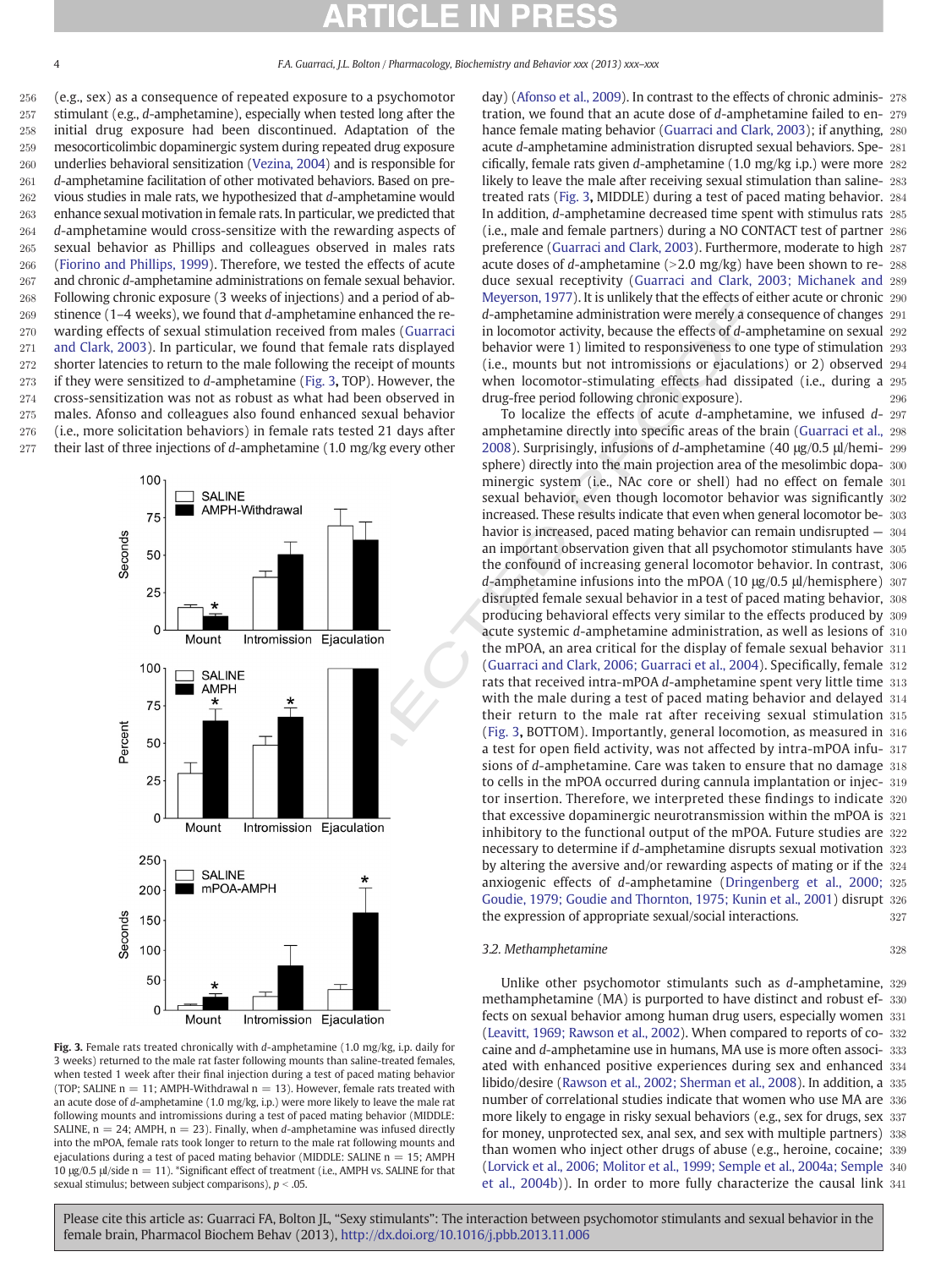(e.g., sex) as a consequence of repeated exposure to a psychomotor stimulant (e.g., d-amphetamine), especially when tested long after the initial drug exposure had been discontinued. Adaptation of the mesocorticolimbic dopaminergic system during repeated drug exposure underlies behavioral sensitization [\(Vezina, 2004](#page-8-0)) and is responsible for 261 d-amphetamine facilitation of other motivated behaviors. Based on pre- vious studies in male rats, we hypothesized that d-amphetamine would enhance sexual motivation in female rats. In particular, we predicted that 264 d-amphetamine would cross-sensitize with the rewarding aspects of sexual behavior as Phillips and colleagues observed in males rats [\(Fiorino and Phillips, 1999\)](#page-7-0). Therefore, we tested the effects of acute and chronic d-amphetamine administrations on female sexual behavior. Following chronic exposure (3 weeks of injections) and a period of ab-269 stinence (1–4 weeks), we found that d-amphetamine enhanced the re- warding effects of sexual stimulation received from males (Guarraci [and Clark, 2003](#page-7-0)). In particular, we found that female rats displayed shorter latencies to return to the male following the receipt of mounts if they were sensitized to d-amphetamine (Fig. 3, TOP). However, the cross-sensitization was not as robust as what had been observed in males. Afonso and colleagues also found enhanced sexual behavior (i.e., more solicitation behaviors) in female rats tested 21 days after 277 their last of three injections of *d*-amphetamine (1.0 mg/kg every other



Fig. 3. Female rats treated chronically with d-amphetamine (1.0 mg/kg, i.p. daily for 3 weeks) returned to the male rat faster following mounts than saline-treated females, when tested 1 week after their final injection during a test of paced mating behavior (TOP; SALINE  $n = 11$ ; AMPH-Withdrawal  $n = 13$ ). However, female rats treated with an acute dose of d-amphetamine (1.0 mg/kg, i.p.) were more likely to leave the male rat following mounts and intromissions during a test of paced mating behavior (MIDDLE: SALINE,  $n = 24$ ; AMPH,  $n = 23$ ). Finally, when d-amphetamine was infused directly into the mPOA, female rats took longer to return to the male rat following mounts and ejaculations during a test of paced mating behavior (MIDDLE: SALINE  $n = 15$ ; AMPH 10 μg/0.5 μl/side n = 11). \*Significant effect of treatment (i.e., AMPH vs. SALINE for that sexual stimulus; between subject comparisons),  $p < .05$ .

day) [\(Afonso et al., 2009\)](#page-7-0). In contrast to the effects of chronic adminis- 278 tration, we found that an acute dose of d-amphetamine failed to en- 279 hance female mating behavior ([Guarraci and Clark, 2003](#page-7-0)); if anything, 280 acute d-amphetamine administration disrupted sexual behaviors. Spe- 281 cifically, female rats given d-amphetamine (1.0 mg/kg i.p.) were more 282 likely to leave the male after receiving sexual stimulation than saline- 283 treated rats (Fig. 3, MIDDLE) during a test of paced mating behavior. 284 In addition, d-amphetamine decreased time spent with stimulus rats 285 (i.e., male and female partners) during a NO CONTACT test of partner 286 preference ([Guarraci and Clark, 2003\)](#page-7-0). Furthermore, moderate to high 287 acute doses of *d*-amphetamine ( $>$ 2.0 mg/kg) have been shown to re- 288 duce sexual receptivity [\(Guarraci and Clark, 2003; Michanek and](#page-7-0) 289 [Meyerson, 1977](#page-7-0)). It is unlikely that the effects of either acute or chronic 290 d-amphetamine administration were merely a consequence of changes 291 in locomotor activity, because the effects of d-amphetamine on sexual 292 behavior were 1) limited to responsiveness to one type of stimulation 293 (i.e., mounts but not intromissions or ejaculations) or 2) observed 294 when locomotor-stimulating effects had dissipated (i.e., during a 295 drug-free period following chronic exposure). 296

Note (3) the same of the method of the method of the same of the same of the same of the method of the method of the method of the method of the method of the method of the method of the method of the method of the method To localize the effects of acute d-amphetamine, we infused d- 297 amphetamine directly into specific areas of the brain [\(Guarraci et al.,](#page-7-0) 298 2008). Surprisingly, infusions of d-amphetamine (40 μg/0.5 μl/hemi- 299 sphere) directly into the main projection area of the mesolimbic dopa- 300 minergic system (i.e., NAc core or shell) had no effect on female 301 sexual behavior, even though locomotor behavior was significantly 302 increased. These results indicate that even when general locomotor be- 303 havior is increased, paced mating behavior can remain undisrupted - 304 an important observation given that all psychomotor stimulants have 305 the confound of increasing general locomotor behavior. In contrast, 306 d-amphetamine infusions into the mPOA (10 μg/0.5 μl/hemisphere) 307 disrupted female sexual behavior in a test of paced mating behavior, 308 producing behavioral effects very similar to the effects produced by 309 acute systemic d-amphetamine administration, as well as lesions of 310 the mPOA, an area critical for the display of female sexual behavior 311 (Guarraci and Clark, 2006; Guarraci et al., 2004). Specifically, female 312 rats that received intra-mPOA d-amphetamine spent very little time 313 with the male during a test of paced mating behavior and delayed 314 their return to the male rat after receiving sexual stimulation 315 (Fig. 3, BOTTOM). Importantly, general locomotion, as measured in 316 a test for open field activity, was not affected by intra-mPOA infu- 317 sions of d-amphetamine. Care was taken to ensure that no damage 318 to cells in the mPOA occurred during cannula implantation or injec- 319 tor insertion. Therefore, we interpreted these findings to indicate 320 that excessive dopaminergic neurotransmission within the mPOA is 321 inhibitory to the functional output of the mPOA. Future studies are 322 necessary to determine if d-amphetamine disrupts sexual motivation 323 by altering the aversive and/or rewarding aspects of mating or if the 324 anxiogenic effects of d-amphetamine ([Dringenberg et al., 2000;](#page-7-0) 325 [Goudie, 1979; Goudie and Thornton, 1975; Kunin et al., 2001](#page-7-0)) disrupt 326 the expression of appropriate sexual/social interactions. 327

# 3.2. Methamphetamine 328

Unlike other psychomotor stimulants such as d-amphetamine, 329 methamphetamine (MA) is purported to have distinct and robust ef- 330 fects on sexual behavior among human drug users, especially women 331 [\(Leavitt, 1969; Rawson et al., 2002](#page-7-0)). When compared to reports of co- 332 caine and d-amphetamine use in humans, MA use is more often associ- 333 ated with enhanced positive experiences during sex and enhanced 334 libido/desire ([Rawson et al., 2002; Sherman et al., 2008\)](#page-8-0). In addition, a 335 number of correlational studies indicate that women who use MA are 336 more likely to engage in risky sexual behaviors (e.g., sex for drugs, sex 337 for money, unprotected sex, anal sex, and sex with multiple partners) 338 than women who inject other drugs of abuse (e.g., heroine, cocaine; 339 [\(Lorvick et al., 2006; Molitor et al., 1999; Semple et al., 2004a; Semple](#page-7-0) 340 [et al., 2004b\)](#page-7-0)). In order to more fully characterize the causal link 341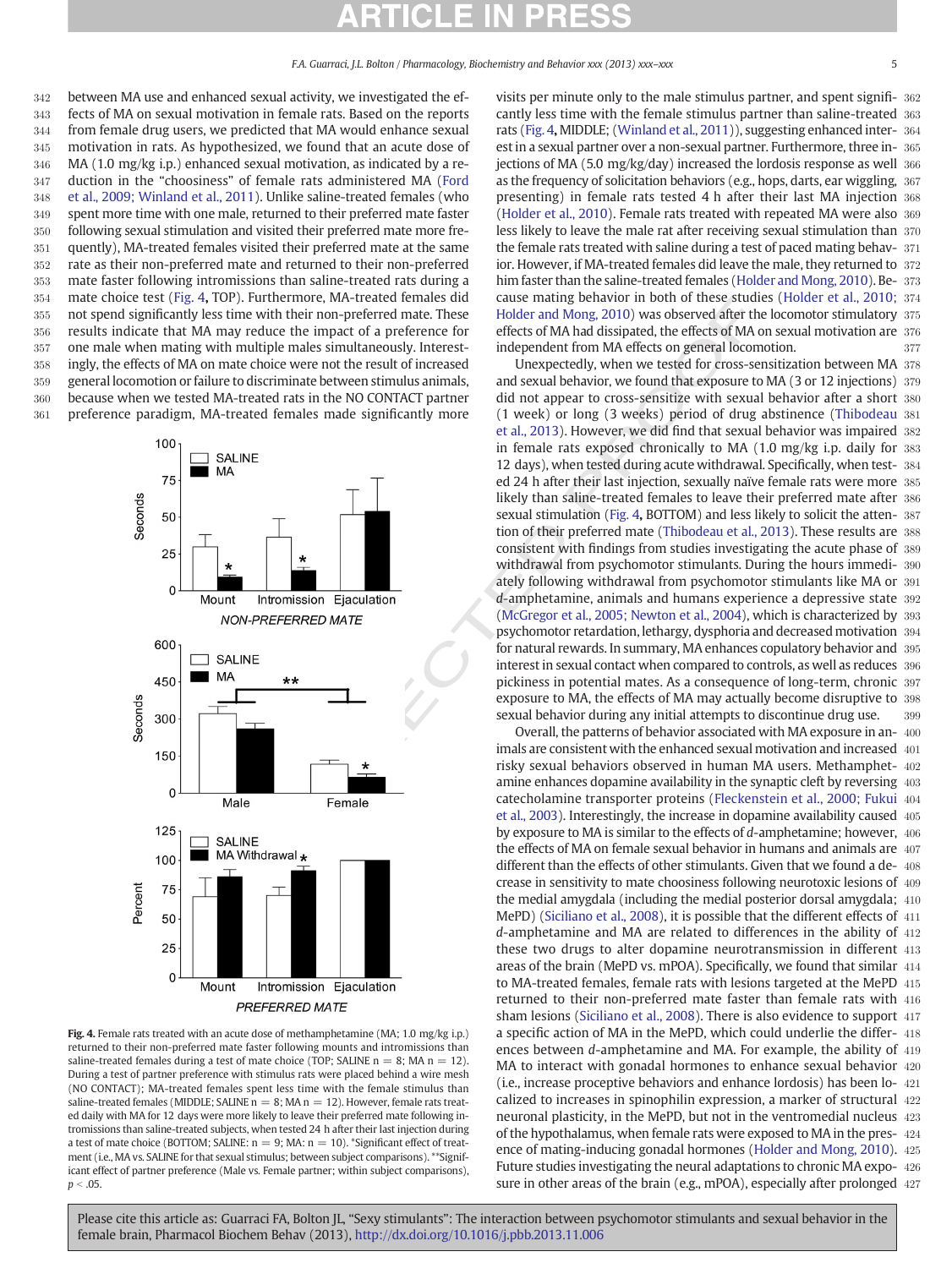between MA use and enhanced sexual activity, we investigated the ef- fects of MA on sexual motivation in female rats. Based on the reports from female drug users, we predicted that MA would enhance sexual motivation in rats. As hypothesized, we found that an acute dose of MA (1.0 mg/kg i.p.) enhanced sexual motivation, as indicated by a re- duction in the "choosiness" of female rats administered MA ([Ford](#page-7-0) [et al., 2009; Winland et al., 2011](#page-7-0)). Unlike saline-treated females (who spent more time with one male, returned to their preferred mate faster following sexual stimulation and visited their preferred mate more fre- quently), MA-treated females visited their preferred mate at the same rate as their non-preferred mate and returned to their non-preferred mate faster following intromissions than saline-treated rats during a mate choice test (Fig. 4, TOP). Furthermore, MA-treated females did not spend significantly less time with their non-preferred mate. These results indicate that MA may reduce the impact of a preference for one male when mating with multiple males simultaneously. Interest- ingly, the effects of MA on mate choice were not the result of increased general locomotion or failure to discriminate between stimulus animals, because when we tested MA-treated rats in the NO CONTACT partner preference paradigm, MA-treated females made significantly more



Fig. 4. Female rats treated with an acute dose of methamphetamine (MA; 1.0 mg/kg i.p.) returned to their non-preferred mate faster following mounts and intromissions than saline-treated females during a test of mate choice (TOP; SALINE  $n = 8$ ; MA  $n = 12$ ). During a test of partner preference with stimulus rats were placed behind a wire mesh (NO CONTACT); MA-treated females spent less time with the female stimulus than saline-treated females (MIDDLE; SALINE  $n = 8$ ; MA  $n = 12$ ). However, female rats treated daily with MA for 12 days were more likely to leave their preferred mate following intromissions than saline-treated subjects, when tested 24 h after their last injection during a test of mate choice (BOTTOM; SALINE:  $n = 9$ ; MA:  $n = 10$ ). \*Significant effect of treatment (i.e., MA vs. SALINE for that sexual stimulus; between subject comparisons). \*\*Significant effect of partner preference (Male vs. Female partner; within subject comparisons),  $p < .05$ 

visits per minute only to the male stimulus partner, and spent signifi- 362 cantly less time with the female stimulus partner than saline-treated 363 rats (Fig. 4, MIDDLE; ([Winland et al., 2011](#page-8-0))), suggesting enhanced inter- 364 est in a sexual partner over a non-sexual partner. Furthermore, three in- 365 jections of MA (5.0 mg/kg/day) increased the lordosis response as well 366 as the frequency of solicitation behaviors (e.g., hops, darts, ear wiggling, 367 presenting) in female rats tested 4 h after their last MA injection 368 [\(Holder et al., 2010](#page-7-0)). Female rats treated with repeated MA were also 369 less likely to leave the male rat after receiving sexual stimulation than 370 the female rats treated with saline during a test of paced mating behav- 371 ior. However, if MA-treated females did leave the male, they returned to 372 him faster than the saline-treated females [\(Holder and Mong, 2010](#page-7-0)). Be- 373 cause mating behavior in both of these studies [\(Holder et al., 2010;](#page-7-0) 374 Holder and Mong, 2010) was observed after the locomotor stimulatory 375 effects of MA had dissipated, the effects of MA on sexual motivation are 376 independent from MA effects on general locomotion. 377

Unexpectedly, when we tested for cross-sensitization between MA 378 and sexual behavior, we found that exposure to MA (3 or 12 injections) 379 did not appear to cross-sensitize with sexual behavior after a short 380 (1 week) or long (3 weeks) period of drug abstinence ([Thibodeau](#page-8-0) 381 et al., 2013). However, we did find that sexual behavior was impaired 382 in female rats exposed chronically to MA (1.0 mg/kg i.p. daily for 383 12 days), when tested during acute withdrawal. Specifically, when test- 384 ed 24 h after their last injection, sexually naïve female rats were more 385 likely than saline-treated females to leave their preferred mate after 386 sexual stimulation (Fig. 4, BOTTOM) and less likely to solicit the atten- 387 tion of their preferred mate [\(Thibodeau et al., 2013\)](#page-8-0). These results are 388 consistent with findings from studies investigating the acute phase of 389 withdrawal from psychomotor stimulants. During the hours immedi- 390 ately following withdrawal from psychomotor stimulants like MA or 391 d-amphetamine, animals and humans experience a depressive state 392 (McGregor et al., 2005; Newton et al., 2004), which is characterized by 393 psychomotor retardation, lethargy, dysphoria and decreased motivation 394 for natural rewards. In summary, MA enhances copulatory behavior and 395 interest in sexual contact when compared to controls, as well as reduces 396 pickiness in potential mates. As a consequence of long-term, chronic 397 exposure to MA, the effects of MA may actually become disruptive to 398 sexual behavior during any initial attempts to discontinue drug use. 399

Overall, the patterns of behavior associated with MA exposure in an- 400 imals are consistent with the enhanced sexual motivation and increased 401 risky sexual behaviors observed in human MA users. Methamphet- 402 amine enhances dopamine availability in the synaptic cleft by reversing 403 catecholamine transporter proteins [\(Fleckenstein et al., 2000; Fukui](#page-7-0) 404 et al., 2003). Interestingly, the increase in dopamine availability caused 405 by exposure to MA is similar to the effects of d-amphetamine; however, 406 the effects of MA on female sexual behavior in humans and animals are 407 different than the effects of other stimulants. Given that we found a de- 408 crease in sensitivity to mate choosiness following neurotoxic lesions of 409 the medial amygdala (including the medial posterior dorsal amygdala; 410 MePD) (Siciliano et al., 2008), it is possible that the different effects of 411 d-amphetamine and MA are related to differences in the ability of 412 these two drugs to alter dopamine neurotransmission in different 413 areas of the brain (MePD vs. mPOA). Specifically, we found that similar 414 to MA-treated females, female rats with lesions targeted at the MePD 415 returned to their non-preferred mate faster than female rats with 416 sham lesions ([Siciliano et al., 2008\)](#page-8-0). There is also evidence to support 417 a specific action of MA in the MePD, which could underlie the differ- 418 ences between d-amphetamine and MA. For example, the ability of 419 MA to interact with gonadal hormones to enhance sexual behavior 420 (i.e., increase proceptive behaviors and enhance lordosis) has been lo- 421 calized to increases in spinophilin expression, a marker of structural 422 neuronal plasticity, in the MePD, but not in the ventromedial nucleus 423 of the hypothalamus, when female rats were exposed to MA in the pres- 424 ence of mating-inducing gonadal hormones ([Holder and Mong, 2010](#page-7-0)). 425 Future studies investigating the neural adaptations to chronic MA expo- 426 sure in other areas of the brain (e.g., mPOA), especially after prolonged 427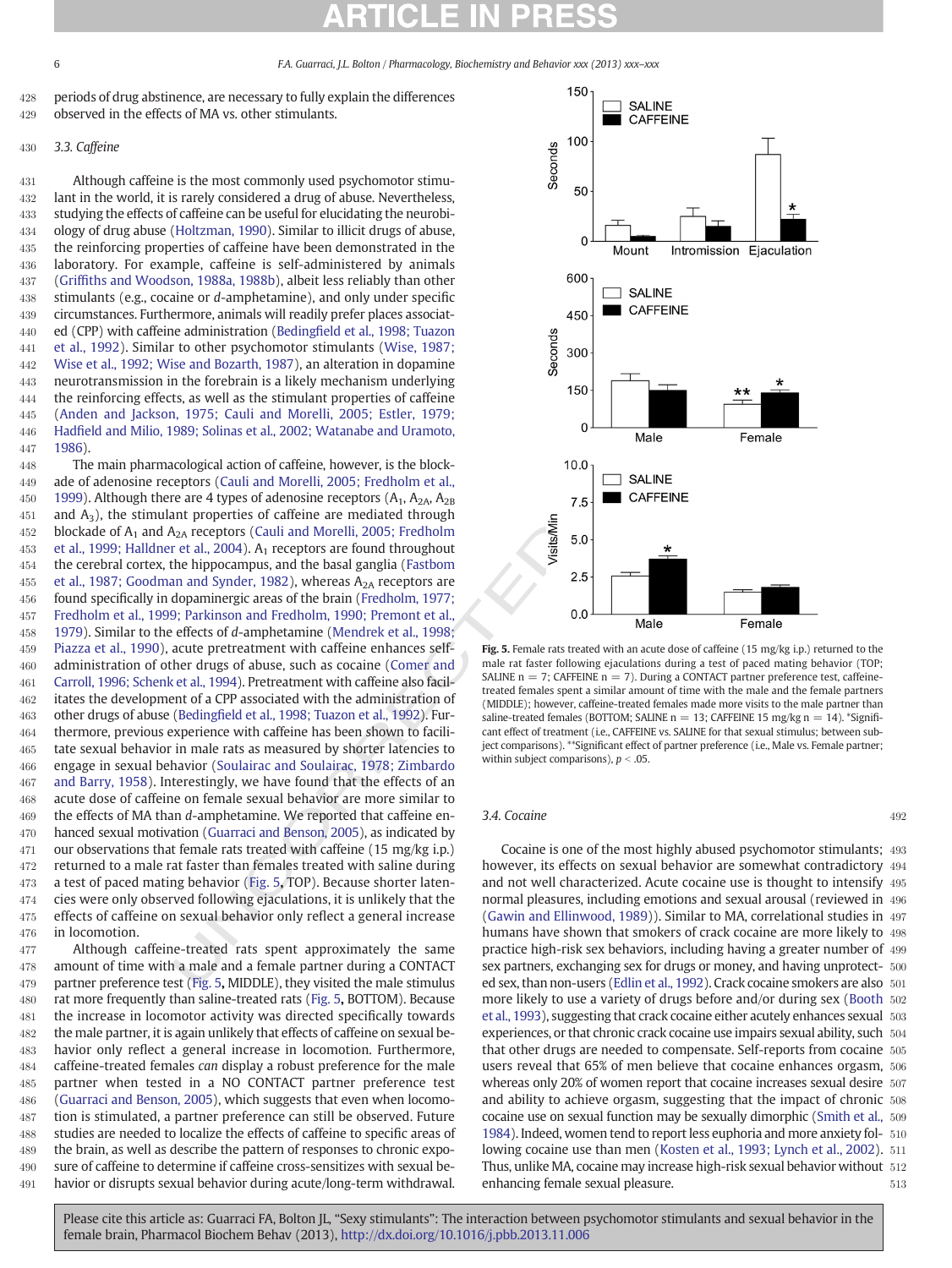periods of drug abstinence, are necessary to fully explain the differences observed in the effects of MA vs. other stimulants.

# 3.3. Caffeine

 Although caffeine is the most commonly used psychomotor stimu- lant in the world, it is rarely considered a drug of abuse. Nevertheless, studying the effects of caffeine can be useful for elucidating the neurobi- ology of drug abuse ([Holtzman, 1990\)](#page-7-0). Similar to illicit drugs of abuse, the reinforcing properties of caffeine have been demonstrated in the laboratory. For example, caffeine is self-administered by animals (Griffi[ths and Woodson, 1988a, 1988b](#page-7-0)), albeit less reliably than other stimulants (e.g., cocaine or d-amphetamine), and only under specific circumstances. Furthermore, animals will readily prefer places associat- ed (CPP) with caffeine administration (Bedingfield et al., 1998; Tuazon [et al., 1992\)](#page-7-0). Similar to other psychomotor stimulants (Wise, 1987; [Wise et al., 1992; Wise and Bozarth, 1987\)](#page-8-0), an alteration in dopamine neurotransmission in the forebrain is a likely mechanism underlying the reinforcing effects, as well as the stimulant properties of caffeine [\(Anden and Jackson, 1975; Cauli and Morelli, 2005; Estler, 1979;](#page-7-0) Hadfi[eld and Milio, 1989; Solinas et al., 2002; Watanabe and Uramoto,](#page-7-0) [1986\)](#page-7-0).

and one and other is the base and of the control in the specifical control is the contributation (being the specifical control in the specifical control is the method of the method of the specifical control is the specifi The main pharmacological action of caffeine, however, is the block- ade of adenosine receptors (Cauli and Morelli, 2005; Fredholm et al., [1999\)](#page-7-0). Although there are 4 types of adenosine receptors (A<sub>1</sub>, A<sub>2A</sub>, A<sub>2B</sub> 451 and  $A_3$ ), the stimulant properties of caffeine are mediated through 452 blockade of  $A_1$  and  $A_{2A}$  receptors (Cauli and Morelli, 2005; Fredholm [et al., 1999; Halldner et al., 2004\)](#page-7-0). A<sub>1</sub> receptors are found throughout the cerebral cortex, the hippocampus, and the basal ganglia (Fastbom [et al., 1987; Goodman and Synder, 1982\)](#page-7-0), whereas  $A_{2A}$  receptors are found specifically in dopaminergic areas of the brain (Fredholm, 1977; [Fredholm et al., 1999; Parkinson and Fredholm, 1990; Premont et al.,](#page-7-0) [1979\)](#page-7-0). Similar to the effects of d-amphetamine (Mendrek et al., 1998; [Piazza et al., 1990\)](#page-7-0), acute pretreatment with caffeine enhances self- administration of other drugs of abuse, such as cocaine (Comer and [Carroll, 1996; Schenk et al., 1994](#page-7-0)). Pretreatment with caffeine also facil- itates the development of a CPP associated with the administration of other drugs of abuse (Bedingfield et al., 1998; Tuazon et al., 1992). Fur- thermore, previous experience with caffeine has been shown to facili- tate sexual behavior in male rats as measured by shorter latencies to engage in sexual behavior (Soulairac and Soulairac, 1978; Zimbardo [and Barry, 1958](#page-8-0)). Interestingly, we have found that the effects of an acute dose of caffeine on female sexual behavior are more similar to the effects of MA than d-amphetamine. We reported that caffeine en- hanced sexual motivation (Guarraci and Benson, 2005), as indicated by 471 our observations that female rats treated with caffeine (15 mg/kg i.p.) returned to a male rat faster than females treated with saline during a test of paced mating behavior (Fig. 5, TOP). Because shorter laten- cies were only observed following ejaculations, it is unlikely that the effects of caffeine on sexual behavior only reflect a general increase in locomotion.

 Although caffeine-treated rats spent approximately the same amount of time with a male and a female partner during a CONTACT partner preference test (Fig. 5, MIDDLE), they visited the male stimulus rat more frequently than saline-treated rats (Fig. 5, BOTTOM). Because the increase in locomotor activity was directed specifically towards the male partner, it is again unlikely that effects of caffeine on sexual be- havior only reflect a general increase in locomotion. Furthermore, 484 caffeine-treated females can display a robust preference for the male partner when tested in a NO CONTACT partner preference test [\(Guarraci and Benson, 2005](#page-7-0)), which suggests that even when locomo- tion is stimulated, a partner preference can still be observed. Future studies are needed to localize the effects of caffeine to specific areas of the brain, as well as describe the pattern of responses to chronic expo- sure of caffeine to determine if caffeine cross-sensitizes with sexual be-havior or disrupts sexual behavior during acute/long-term withdrawal.



Fig. 5. Female rats treated with an acute dose of caffeine (15 mg/kg i.p.) returned to the male rat faster following ejaculations during a test of paced mating behavior (TOP; SALINE  $n = 7$ ; CAFFEINE  $n = 7$ ). During a CONTACT partner preference test, caffeinetreated females spent a similar amount of time with the male and the female partners (MIDDLE); however, caffeine-treated females made more visits to the male partner than saline-treated females (BOTTOM; SALINE  $n = 13$ ; CAFFEINE 15 mg/kg  $n = 14$ ). \*Significant effect of treatment (i.e., CAFFEINE vs. SALINE for that sexual stimulus; between subject comparisons). \*\*Significant effect of partner preference (i.e., Male vs. Female partner; within subject comparisons),  $p < .05$ .

**3.4. Cocaine** 492

Cocaine is one of the most highly abused psychomotor stimulants; 493 however, its effects on sexual behavior are somewhat contradictory 494 and not well characterized. Acute cocaine use is thought to intensify 495 normal pleasures, including emotions and sexual arousal (reviewed in 496 (Gawin and Ellinwood, 1989)). Similar to MA, correlational studies in 497 humans have shown that smokers of crack cocaine are more likely to 498 practice high-risk sex behaviors, including having a greater number of 499 sex partners, exchanging sex for drugs or money, and having unprotect- 500 ed sex, than non-users [\(Edlin et al., 1992](#page-7-0)). Crack cocaine smokers are also 501 more likely to use a variety of drugs before and/or during sex [\(Booth](#page-7-0) 502 [et al., 1993\)](#page-7-0), suggesting that crack cocaine either acutely enhances sexual 503 experiences, or that chronic crack cocaine use impairs sexual ability, such 504 that other drugs are needed to compensate. Self-reports from cocaine 505 users reveal that 65% of men believe that cocaine enhances orgasm, 506 whereas only 20% of women report that cocaine increases sexual desire 507 and ability to achieve orgasm, suggesting that the impact of chronic 508 cocaine use on sexual function may be sexually dimorphic [\(Smith et al.,](#page-8-0) 509 ). Indeed, women tend to report less euphoria and more anxiety fol- 510 lowing cocaine use than men [\(Kosten et al., 1993; Lynch et al., 2002](#page-7-0)). 511 Thus, unlike MA, cocaine may increase high-risk sexual behavior without 512 enhancing female sexual pleasure.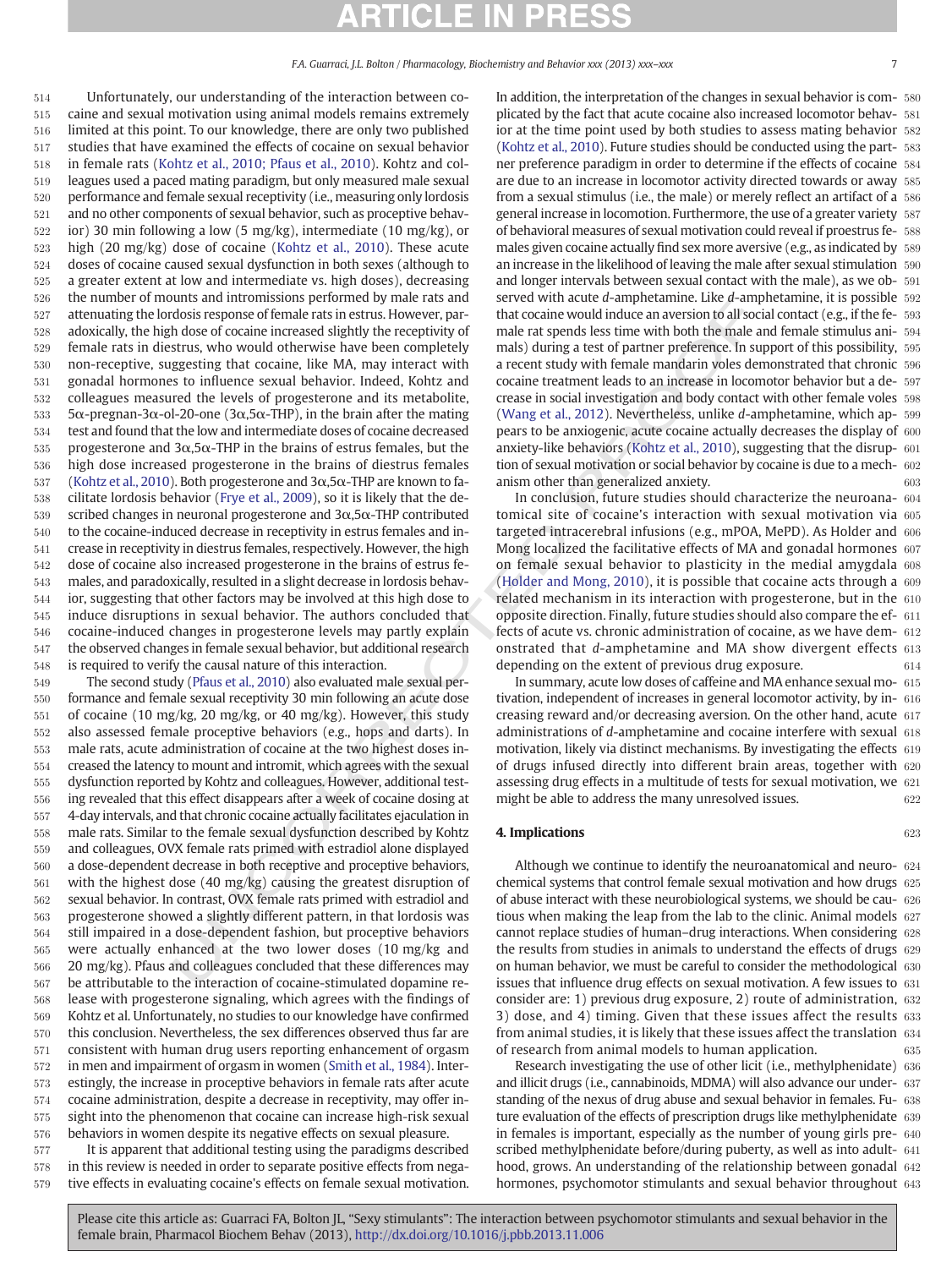units and murtinosissors per promes on yanke rats and severa murative describes are some and several methods of discussed signify the receptivity of male a spending that the set of the set of the set of the set of the set Unfortunately, our understanding of the interaction between co- caine and sexual motivation using animal models remains extremely limited at this point. To our knowledge, there are only two published studies that have examined the effects of cocaine on sexual behavior in female rats [\(Kohtz et al., 2010; Pfaus et al., 2010\)](#page-7-0). Kohtz and col- leagues used a paced mating paradigm, but only measured male sexual performance and female sexual receptivity (i.e., measuring only lordosis and no other components of sexual behavior, such as proceptive behav- ior) 30 min following a low (5 mg/kg), intermediate (10 mg/kg), or high (20 mg/kg) dose of cocaine [\(Kohtz et al., 2010\)](#page-7-0). These acute doses of cocaine caused sexual dysfunction in both sexes (although to a greater extent at low and intermediate vs. high doses), decreasing the number of mounts and intromissions performed by male rats and attenuating the lordosis response of female rats in estrus. However, par- adoxically, the high dose of cocaine increased slightly the receptivity of female rats in diestrus, who would otherwise have been completely non-receptive, suggesting that cocaine, like MA, may interact with gonadal hormones to influence sexual behavior. Indeed, Kohtz and colleagues measured the levels of progesterone and its metabolite, 5α-pregnan-3α-ol-20-one (3α,5α-THP), in the brain after the mating test and found that the low and intermediate doses of cocaine decreased 535 progesterone and  $3\alpha$ ,  $5\alpha$ -THP in the brains of estrus females, but the high dose increased progesterone in the brains of diestrus females [\(Kohtz et al., 2010\)](#page-7-0). Both progesterone and  $3\alpha, 5\alpha$ -THP are known to fa- cilitate lordosis behavior (Frye et al., 2009), so it is likely that the de-539 scribed changes in neuronal progesterone and  $3\alpha,5\alpha$ -THP contributed 540 to the cocaine-induced decrease in receptivity in estrus females and in- crease in receptivity in diestrus females, respectively. However, the high dose of cocaine also increased progesterone in the brains of estrus fe- males, and paradoxically, resulted in a slight decrease in lordosis behav- ior, suggesting that other factors may be involved at this high dose to induce disruptions in sexual behavior. The authors concluded that cocaine-induced changes in progesterone levels may partly explain the observed changes in female sexual behavior, but additional research is required to verify the causal nature of this interaction.

 The second study (Pfaus et al., 2010) also evaluated male sexual per- formance and female sexual receptivity 30 min following an acute dose of cocaine (10 mg/kg, 20 mg/kg, or 40 mg/kg). However, this study also assessed female proceptive behaviors (e.g., hops and darts). In male rats, acute administration of cocaine at the two highest doses in- creased the latency to mount and intromit, which agrees with the sexual dysfunction reported by Kohtz and colleagues. However, additional test- ing revealed that this effect disappears after a week of cocaine dosing at 4-day intervals, and that chronic cocaine actually facilitates ejaculation in male rats. Similar to the female sexual dysfunction described by Kohtz and colleagues, OVX female rats primed with estradiol alone displayed a dose-dependent decrease in both receptive and proceptive behaviors, with the highest dose (40 mg/kg) causing the greatest disruption of sexual behavior. In contrast, OVX female rats primed with estradiol and progesterone showed a slightly different pattern, in that lordosis was still impaired in a dose-dependent fashion, but proceptive behaviors were actually enhanced at the two lower doses (10 mg/kg and 20 mg/kg). Pfaus and colleagues concluded that these differences may be attributable to the interaction of cocaine-stimulated dopamine re- lease with progesterone signaling, which agrees with the findings of Kohtz et al. Unfortunately, no studies to our knowledge have confirmed this conclusion. Nevertheless, the sex differences observed thus far are consistent with human drug users reporting enhancement of orgasm in men and impairment of orgasm in women ([Smith et al., 1984](#page-8-0)). Inter- estingly, the increase in proceptive behaviors in female rats after acute cocaine administration, despite a decrease in receptivity, may offer in- sight into the phenomenon that cocaine can increase high-risk sexual behaviors in women despite its negative effects on sexual pleasure.

577 It is apparent that additional testing using the paradigms described 578 in this review is needed in order to separate positive effects from nega-579 tive effects in evaluating cocaine's effects on female sexual motivation. In addition, the interpretation of the changes in sexual behavior is com- 580 plicated by the fact that acute cocaine also increased locomotor behav- 581 ior at the time point used by both studies to assess mating behavior 582 [\(Kohtz et al., 2010\)](#page-7-0). Future studies should be conducted using the part- 583 ner preference paradigm in order to determine if the effects of cocaine 584 are due to an increase in locomotor activity directed towards or away 585 from a sexual stimulus (i.e., the male) or merely reflect an artifact of a 586 general increase in locomotion. Furthermore, the use of a greater variety 587 of behavioral measures of sexual motivation could reveal if proestrus fe- 588 males given cocaine actually find sex more aversive (e.g., as indicated by 589 an increase in the likelihood of leaving the male after sexual stimulation 590 and longer intervals between sexual contact with the male), as we ob- 591 served with acute d-amphetamine. Like d-amphetamine, it is possible 592 that cocaine would induce an aversion to all social contact (e.g., if the fe- 593 male rat spends less time with both the male and female stimulus ani- 594 mals) during a test of partner preference. In support of this possibility, 595 a recent study with female mandarin voles demonstrated that chronic 596 cocaine treatment leads to an increase in locomotor behavior but a de- 597 crease in social investigation and body contact with other female voles 598 (Wang et al., 2012). Nevertheless, unlike d-amphetamine, which ap- 599 pears to be anxiogenic, acute cocaine actually decreases the display of 600 anxiety-like behaviors (Kohtz et al., 2010), suggesting that the disrup- 601 tion of sexual motivation or social behavior by cocaine is due to a mech- 602 anism other than generalized anxiety.  $603$ 

In conclusion, future studies should characterize the neuroana- 604 tomical site of cocaine's interaction with sexual motivation via 605 targeted intracerebral infusions (e.g., mPOA, MePD). As Holder and 606 Mong localized the facilitative effects of MA and gonadal hormones 607 on female sexual behavior to plasticity in the medial amygdala 608 (Holder and Mong, 2010), it is possible that cocaine acts through a 609 related mechanism in its interaction with progesterone, but in the 610 opposite direction. Finally, future studies should also compare the ef- 611 fects of acute vs. chronic administration of cocaine, as we have dem- 612 onstrated that d-amphetamine and MA show divergent effects 613 depending on the extent of previous drug exposure. 614

In summary, acute low doses of caffeine and MA enhance sexual mo- 615 tivation, independent of increases in general locomotor activity, by in- 616 creasing reward and/or decreasing aversion. On the other hand, acute 617 administrations of d-amphetamine and cocaine interfere with sexual 618 motivation, likely via distinct mechanisms. By investigating the effects 619 of drugs infused directly into different brain areas, together with 620 assessing drug effects in a multitude of tests for sexual motivation, we 621 might be able to address the many unresolved issues. 622

# **4. Implications** 623

Although we continue to identify the neuroanatomical and neuro- 624 chemical systems that control female sexual motivation and how drugs 625 of abuse interact with these neurobiological systems, we should be cau- 626 tious when making the leap from the lab to the clinic. Animal models 627 cannot replace studies of human–drug interactions. When considering 628 the results from studies in animals to understand the effects of drugs 629 on human behavior, we must be careful to consider the methodological 630 issues that influence drug effects on sexual motivation. A few issues to 631 consider are: 1) previous drug exposure, 2) route of administration, 632 3) dose, and 4) timing. Given that these issues affect the results 633 from animal studies, it is likely that these issues affect the translation 634 of research from animal models to human application. 635

Research investigating the use of other licit (i.e., methylphenidate) 636 and illicit drugs (i.e., cannabinoids, MDMA) will also advance our under- 637 standing of the nexus of drug abuse and sexual behavior in females. Fu- 638 ture evaluation of the effects of prescription drugs like methylphenidate 639 in females is important, especially as the number of young girls pre- 640 scribed methylphenidate before/during puberty, as well as into adult- 641 hood, grows. An understanding of the relationship between gonadal 642 hormones, psychomotor stimulants and sexual behavior throughout 643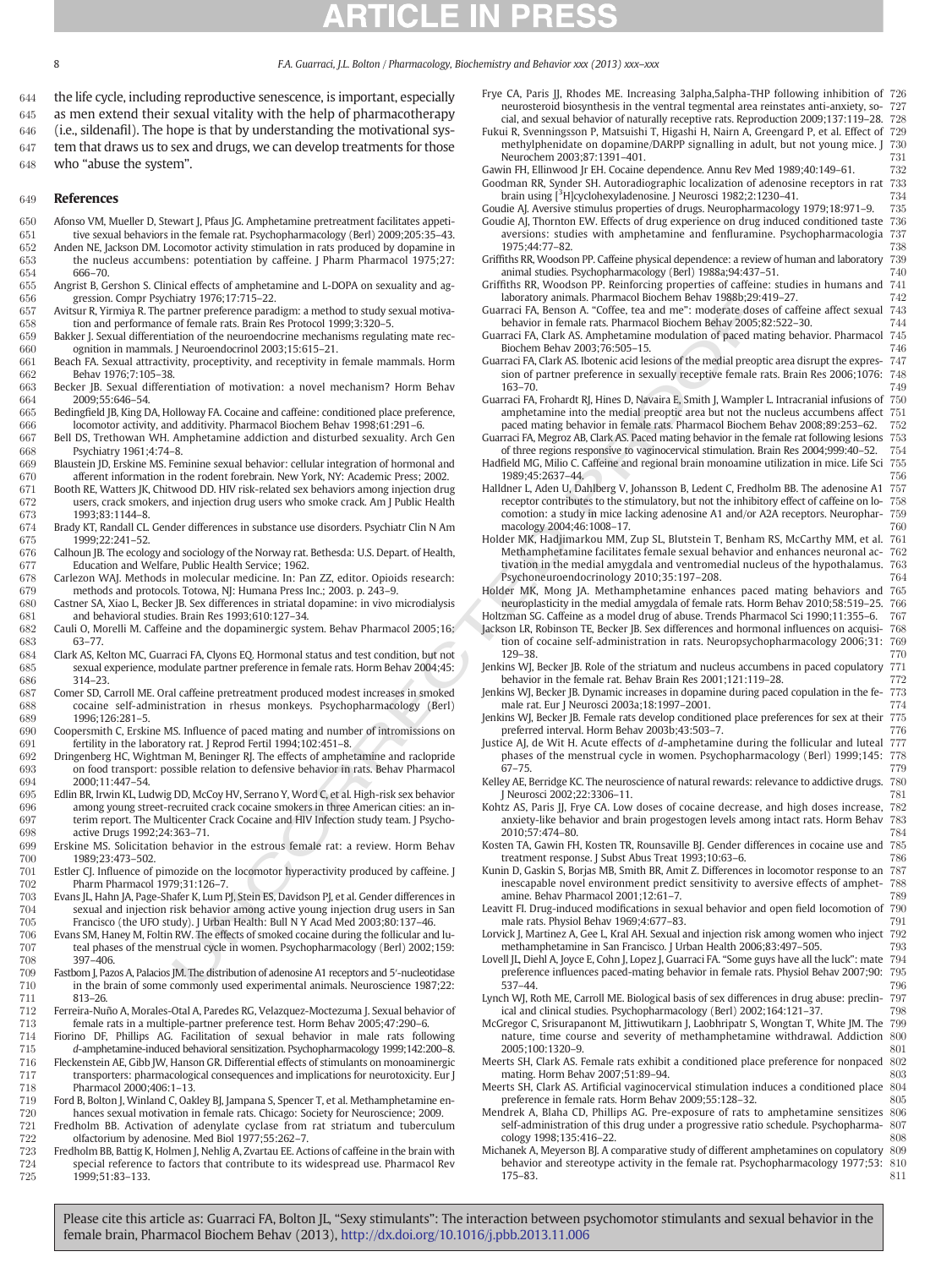<span id="page-7-0"></span>

- 644 the life cycle, including reproductive senescence, is important, especially 645 as men extend their sexual vitality with the help of pharmacotherapy 646 (i.e., sildenafil). The hope is that by understanding the motivational sys-647 tem that draws us to sex and drugs, we can develop treatments for those
	- 648 who "abuse the system".

# 649 References

- 650 Afonso VM, Mueller D, Stewart J, Pfaus JG. Amphetamine pretreatment facilitates appeti-<br>651 tive sexual behaviors in the female rat. Psychonharmacology (Berl) 2009;205:35–43
- 651 tive sexual behaviors in the female rat. Psychopharmacology (Berl) 2009;205:35–43. 652 Anden NE, Jackson DM. Locomotor activity stimulation in rats produced by dopamine in 653 the nucleus accumbens: potentiation by caffeine 1 Pharm Pharmacol 1975:27: the nucleus accumbens: potentiation by caffeine. J Pharm Pharmacol 1975;27:
- 654 666–70.<br>655 Angrist B G 655 Angrist B, Gershon S. Clinical effects of amphetamine and L-DOPA on sexuality and ag-<br>656 cression Compr Psychiatry 1976:17:715-22 656 gression. Compr Psychiatry 1976;17:715–22.
	- Avitsur R, Yirmiya R. The partner preference paradigm: a method to study sexual motiva-
- 658 tion and performance of female rats. Brain Res Protocol 1999;3:320–5. 659 Bakker J. Sexual differentiation of the neuroendocrine mechanisms regulating mate rec-<br>660 contition in mammals 1 Neuroendocrinol 2003:15:615-21
- 660 ognition in mammals. J Neuroendocrinol 2003;15:615–21. 661 Beach FA. Sexual attractivity, proceptivity, and receptivity in female mammals. Horm 662 Behav 1976:7:105-38 662 Behav 1976;7:105–38.
- 663 Becker JB. Sexual differentiation of motivation: a novel mechanism? Horm Behav 2009:55:646-54.
- 665 Bedingfield JB, King DA, Holloway FA. Cocaine and caffeine: conditioned place preference,
- 666 locomotor activity, and additivity. Pharmacol Biochem Behav 1998;61:291–6. Bell DS, Trethowan WH. Amphetamine addiction and disturbed sexuality. Arch Gen
- 668 Psychiatry 1961;4:74–8. 669 Blaustein JD, Erskine MS. Feminine sexual behavior: cellular integration of hormonal and afferent information in the rodent forebrain. New York, NY: Academic Press; 2002.
- 671 Booth RE, Watters JK, Chitwood DD. HIV risk-related sex behaviors among injection drug users, crack smokers, and injection drug users who smoke crack. Am J Public Health
- 673 1993;83:1144–8. 674 Brady KT, Randall CL. Gender differences in substance use disorders. Psychiatr Clin N Am 1999;22:241-52.
- 676 Calhoun JB. The ecology and sociology of the Norway rat. Bethesda: U.S. Depart. of Health, 677 Education and Welfare, Public Health Service; 1962.
- 678 Carlezon WAJ. Methods in molecular medicine. In: Pan ZZ, editor. Opioids research: 679 methods and protocols. Totowa, NJ: Humana Press Inc.; 2003. p. 243–9.
- 680 Castner SA, Xiao L, Becker JB. Sex differences in striatal dopamine: in vivo microdialysis 681 and behavioral studies. Brain Res 1993;610:127–34.
- Cauli O, Morelli M. Caffeine and the dopaminergic system. Behav Pharmacol 2005;16: 683<br>684
- Clark AS, Kelton MC, Guarraci FA, Clyons EQ. Hormonal status and test condition, but not 685 sexual experience, modulate partner preference in female rats. Horm Behav 2004;45: 686 314-23.<br>687 Comer SD. C
- 687 Comer SD, Carroll ME. Oral caffeine pretreatment produced modest increases in smoked 688 cocaine self-administration in rhesus monkeys. Psychopharmacology (Berl) 1996:126:281-5.
- 690 Coopersmith C, Erskine MS. Influence of paced mating and number of intromissions on fertility in the laboratory rat. I Reprod Fertil 1994:102:451-8. 691 **fertility in the laboratory rat. J Reprod Fertil 1994;102:451-8.**<br>692 Dringenberg HC, Wightman M. Beninger RI. The effects of amphe
- 692 Dringenberg HC, Wightman M, Beninger RJ. The effects of amphetamine and raclopride 693 on food transport: possible relation to defensive behavior in rats. Behav Pharmacol 694 2000;11:447-54.<br>695 Edlin BR. Irwin KL. Lu
- Edlin BR, Irwin KL, Ludwig DD, McCoy HV, Serrano Y, Word C, et al. High-risk sex behavior 696 among young street-recruited crack cocaine smokers in three American cities: an in-697 terim report. The Multicenter Crack Cocaine and HIV Infection study team. J Psycho-<br>698 active Drugs 1992:24:363-71 active Drugs 1992;24:363-71.
- 699 Erskine MS. Solicitation behavior in the estrous female rat: a review. Horm Behav 700 1989;23:473-502.<br>701 Estler CI. Influence of
- 701 Estler CJ. Influence of pimozide on the locomotor hyperactivity produced by caffeine. J 702 Pharm Pharmacol 1979;31:126–7.
- Evans JL, Hahn JA, Page-Shafer K, Lum PJ, Stein ES, Davidson PJ, et al. Gender differences in 704 sexual and injection risk behavior among active young injection drug users in San Francisco (the UFO study). J Urban Health: Bull N Y Acad Med 2003;80:137-46.
- 706 Evans SM, Haney M, Foltin RW. The effects of smoked cocaine during the follicular and lu-707 teal phases of the menstrual cycle in women. Psychopharmacology (Berl) 2002;159: 708 397–406.
- 709 Fastbom J, Pazos A, Palacios JM. The distribution of adenosine A1 receptors and 5′-nucleotidase<br>710 in the brain of some commonly used experimental animals. Neuroscience 1987:22: in the brain of some commonly used experimental animals. Neuroscience 1987;22: 711 813–26.
- 712 Ferreira-Nuño A, Morales-Otal A, Paredes RG, Velazquez-Moctezuma J. Sexual behavior of female rats in a multiple-partner preference test. Horm Behav 2005;47:290-6.
- 714 Fiorino DF, Phillips AG. Facilitation of sexual behavior in male rats following 715 d-amphetamine-induced behavioral sensitization. Psychopharmacology 1999;142:200–8.
- 716 Fleckenstein AE, Gibb JW, Hanson GR. Differential effects of stimulants on monoaminergic 717 transporters: pharmacological consequences and implications for neurotoxicity. Eur J 718 Pharmacol 2000;406:1–13.
- 719 Ford B, Bolton J, Winland C, Oakley BJ, Jampana S, Spencer T, et al. Methamphetamine en-
- 720 hances sexual motivation in female rats. Chicago: Society for Neuroscience; 2009. Fredholm BB. Activation of adenylate cyclase from rat striatum and tuberculum 722 olfactorium by adenosine. Med Biol 1977;55:262–7.
- 723 Fredholm BB, Battig K, Holmen J, Nehlig A, Zvartau EE. Actions of caffeine in the brain with 724 special reference to factors that contribute to its widespread use. Pharmacol Rev 1999;51:83-133.

| ig reproductive senescence, is important, especially                                                                              | Frye CA, Paris JJ, Rhodes ME. Increasing 3alpha,5alpha-THP following inhibition of 726                                                                                                     |     |
|-----------------------------------------------------------------------------------------------------------------------------------|--------------------------------------------------------------------------------------------------------------------------------------------------------------------------------------------|-----|
| sexual vitality with the help of pharmacotherapy                                                                                  | neurosteroid biosynthesis in the ventral tegmental area reinstates anti-anxiety, so- 727<br>cial, and sexual behavior of naturally receptive rats. Reproduction 2009;137:119-28. 728       |     |
| ope is that by understanding the motivational sys-                                                                                | Fukui R, Svenningsson P, Matsuishi T, Higashi H, Nairn A, Greengard P, et al. Effect of 729                                                                                                |     |
| sex and drugs, we can develop treatments for those                                                                                | methylphenidate on dopamine/DARPP signalling in adult, but not young mice. J 730<br>Neurochem 2003;87:1391-401.                                                                            | 731 |
| :m".                                                                                                                              | Gawin FH, Ellinwood Jr EH. Cocaine dependence. Annu Rev Med 1989;40:149–61.                                                                                                                | 732 |
|                                                                                                                                   | Goodman RR, Synder SH. Autoradiographic localization of adenosine receptors in rat 733                                                                                                     |     |
|                                                                                                                                   | brain using [ <sup>3</sup> H]cyclohexyladenosine. J Neurosci 1982;2:1230-41.                                                                                                               | 734 |
|                                                                                                                                   | Goudie AJ. Aversive stimulus properties of drugs. Neuropharmacology 1979;18:971–9.                                                                                                         | 735 |
| wart J, Pfaus JG. Amphetamine pretreatment facilitates appeti-<br>in the female rat. Psychopharmacology (Berl) 2009;205:35–43.    | Goudie AJ, Thornton EW. Effects of drug experience on drug induced conditioned taste 736<br>aversions: studies with amphetamine and fenfluramine. Psychopharmacologia 737                  |     |
| ocomotor activity stimulation in rats produced by dopamine in                                                                     | 1975;44:77-82.                                                                                                                                                                             | 738 |
| ens: potentiation by caffeine. J Pharm Pharmacol 1975;27:                                                                         | Griffiths RR, Woodson PP. Caffeine physical dependence: a review of human and laboratory 739                                                                                               |     |
|                                                                                                                                   | animal studies. Psychopharmacology (Berl) 1988a;94:437-51.                                                                                                                                 | 740 |
| ical effects of amphetamine and L-DOPA on sexuality and ag-                                                                       | Griffiths RR, Woodson PP. Reinforcing properties of caffeine: studies in humans and 741                                                                                                    |     |
| niatry 1976;17:715–22.<br>) artner preference paradigm: a method to study sexual motiva-                                          | laboratory animals. Pharmacol Biochem Behav 1988b;29:419-27.<br>Guarraci FA, Benson A. "Coffee, tea and me": moderate doses of caffeine affect sexual 743                                  | 742 |
| of female rats. Brain Res Protocol 1999;3:320-5.                                                                                  | behavior in female rats. Pharmacol Biochem Behav 2005;82:522-30.                                                                                                                           | 744 |
| ation of the neuroendocrine mechanisms regulating mate rec-                                                                       | Guarraci FA, Clark AS. Amphetamine modulation of paced mating behavior. Pharmacol 745                                                                                                      |     |
| J Neuroendocrinol 2003;15:615-21.                                                                                                 | Biochem Behav 2003;76:505-15.                                                                                                                                                              | 746 |
| vity, proceptivity, and receptivity in female mammals. Horm                                                                       | Guarraci FA, Clark AS. Ibotenic acid lesions of the medial preoptic area disrupt the expres- 747<br>sion of partner preference in sexually receptive female rats. Brain Res 2006;1076: 748 |     |
| ntiation of motivation: a novel mechanism? Horm Behav:                                                                            | $163 - 70.$                                                                                                                                                                                | 749 |
|                                                                                                                                   | Guarraci FA, Frohardt RJ, Hines D, Navaira E, Smith J, Wampler L. Intracranial infusions of 750                                                                                            |     |
| olloway FA. Cocaine and caffeine: conditioned place preference,                                                                   | amphetamine into the medial preoptic area but not the nucleus accumbens affect 751                                                                                                         |     |
| d additivity. Pharmacol Biochem Behav 1998;61:291–6.                                                                              | paced mating behavior in female rats. Pharmacol Biochem Behav 2008;89:253-62.                                                                                                              | 752 |
| Amphetamine addiction and disturbed sexuality. Arch Gen<br>-8.                                                                    | Guarraci FA, Megroz AB, Clark AS. Paced mating behavior in the female rat following lesions 753<br>of three regions responsive to vaginocervical stimulation. Brain Res 2004;999:40–52.    | 754 |
| Feminine sexual behavior: cellular integration of hormonal and                                                                    | Hadfield MG, Milio C. Caffeine and regional brain monoamine utilization in mice. Life Sci 755                                                                                              |     |
| n the rodent forebrain. New York, NY: Academic Press; 2002.                                                                       | 1989;45:2637-44.                                                                                                                                                                           | 756 |
| wood DD. HIV risk-related sex behaviors among injection drug                                                                      | Halldner L, Aden U, Dahlberg V, Johansson B, Ledent C, Fredholm BB. The adenosine A1 757                                                                                                   |     |
| and injection drug users who smoke crack. Am J Public Health                                                                      | receptor contributes to the stimulatory, but not the inhibitory effect of caffeine on lo- 758<br>comotion: a study in mice lacking adenosine A1 and/or A2A receptors. Neurophar- 759       |     |
| der differences in substance use disorders. Psychiatr Clin N Am                                                                   | macology 2004;46:1008-17.                                                                                                                                                                  | 760 |
|                                                                                                                                   | Holder MK, Hadjimarkou MM, Zup SL, Blutstein T, Benham RS, McCarthy MM, et al. 761                                                                                                         |     |
| nd sociology of the Norway rat. Bethesda: U.S. Depart. of Health,                                                                 | Methamphetamine facilitates female sexual behavior and enhances neuronal ac- 762                                                                                                           |     |
| e, Public Health Service; 1962.                                                                                                   | tivation in the medial amygdala and ventromedial nucleus of the hypothalamus. 763                                                                                                          |     |
| in molecular medicine. In: Pan ZZ, editor. Opioids research:<br>ls. Totowa, NJ: Humana Press Inc.; 2003. p. 243–9.                | Psychoneuroendocrinology 2010;35:197-208.<br>Holder MK, Mong JA. Methamphetamine enhances paced mating behaviors and 765                                                                   | 764 |
| 'JB. Sex differences in striatal dopamine: in vivo microdialysis                                                                  | neuroplasticity in the medial amygdala of female rats. Horm Behav 2010;58:519–25. 766                                                                                                      |     |
| s. Brain Res 1993;610:127–34.                                                                                                     | Holtzman SG. Caffeine as a model drug of abuse. Trends Pharmacol Sci 1990;11:355–6.                                                                                                        | 767 |
| ne and the dopaminergic system. Behav Pharmacol 2005;16:                                                                          | Jackson LR, Robinson TE, Becker JB. Sex differences and hormonal influences on acquisi- 768                                                                                                |     |
|                                                                                                                                   | tion of cocaine self-administration in rats. Neuropsychopharmacology 2006;31: 769<br>129-38.                                                                                               |     |
| raci FA, Clyons EQ. Hormonal status and test condition, but not<br>dulate partner preference in female rats. Horm Behav 2004;45:  | Jenkins WJ, Becker JB. Role of the striatum and nucleus accumbens in paced copulatory 771                                                                                                  | 770 |
|                                                                                                                                   | behavior in the female rat. Behav Brain Res 2001;121:119-28.                                                                                                                               | 772 |
| Il caffeine pretreatment produced modest increases in smoked                                                                      | Jenkins WJ, Becker JB. Dynamic increases in dopamine during paced copulation in the fe-773                                                                                                 |     |
| stration in rhesus monkeys. Psychopharmacology (Berl)                                                                             | male rat. Eur J Neurosci 2003a;18:1997-2001.                                                                                                                                               | 774 |
| IS. Influence of paced mating and number of intromissions on                                                                      | Jenkins WJ, Becker JB. Female rats develop conditioned place preferences for sex at their 775<br>preferred interval. Horm Behav 2003b;43:503-7.                                            | 776 |
| ory rat. J Reprod Fertil 1994;102:451–8.                                                                                          | Justice AJ, de Wit H. Acute effects of d-amphetamine during the follicular and luteal 777                                                                                                  |     |
| an M, Beninger RJ. The effects of amphetamine and raclopride                                                                      | phases of the menstrual cycle in women. Psychopharmacology (Berl) 1999;145: 778                                                                                                            |     |
| ssible relation to defensive behavior in rats. Behav Pharmacol                                                                    | $67 - 75.$                                                                                                                                                                                 | 779 |
| DD, McCoy HV, Serrano Y, Word C, et al. High-risk sex behavior                                                                    | Kelley AE, Berridge KC. The neuroscience of natural rewards: relevance to addictive drugs. 780<br>J Neurosci 2002;22:3306–11.                                                              | 781 |
| ecruited crack cocaine smokers in three American cities: an in-                                                                   | Kohtz AS, Paris JJ, Frye CA. Low doses of cocaine decrease, and high doses increase, 782                                                                                                   |     |
| ticenter Crack Cocaine and HIV Infection study team. J Psycho-                                                                    | anxiety-like behavior and brain progestogen levels among intact rats. Horm Behav 783                                                                                                       |     |
| :363–71.                                                                                                                          | 2010;57:474-80.                                                                                                                                                                            | 784 |
| behavior in the estrous female rat: a review. Horm Behav                                                                          | Kosten TA, Gawin FH, Kosten TR, Rounsaville BJ. Gender differences in cocaine use and 785<br>treatment response. J Subst Abus Treat 1993;10:63-6.                                          | 786 |
| tozide on the locomotor hyperactivity produced by caffeine. J                                                                     | Kunin D, Gaskin S, Borjas MB, Smith BR, Amit Z. Differences in locomotor response to an 787                                                                                                |     |
| 79;31:126–7.                                                                                                                      | inescapable novel environment predict sensitivity to aversive effects of amphet-788                                                                                                        |     |
| afer K, Lum PJ, Stein ES, Davidson PJ, et al. Gender differences in                                                               | amine. Behav Pharmacol 2001;12:61-7.                                                                                                                                                       | 789 |
| risk behavior among active young injection drug users in San<br>udy). J Urban Health: Bull N Y Acad Med 2003;80:137–46.           | Leavitt FI. Drug-induced modifications in sexual behavior and open field locomotion of 790<br>male rats. Physiol Behav 1969;4:677-83.                                                      | 791 |
| RW. The effects of smoked cocaine during the follicular and lu-                                                                   | Lorvick J, Martinez A, Gee L, Kral AH. Sexual and injection risk among women who inject 792                                                                                                |     |
| nstrual cycle in women. Psychopharmacology (Berl) 2002;159:                                                                       | methamphetamine in San Francisco. J Urban Health 2006;83:497-505.                                                                                                                          | 793 |
|                                                                                                                                   | Lovell JL, Diehl A, Joyce E, Cohn J, Lopez J, Guarraci FA. "Some guys have all the luck": mate 794                                                                                         |     |
| JM. The distribution of adenosine A1 receptors and 5'-nucleotidase                                                                | preference influences paced-mating behavior in female rats. Physiol Behav 2007;90: 795                                                                                                     |     |
| commonly used experimental animals. Neuroscience 1987;22:                                                                         | 537–44.<br>Lynch WJ, Roth ME, Carroll ME. Biological basis of sex differences in drug abuse: preclin- 797                                                                                  | 796 |
| Otal A, Paredes RG, Velazquez-Moctezuma J. Sexual behavior of                                                                     | ical and clinical studies. Psychopharmacology (Berl) 2002;164:121-37.                                                                                                                      | 798 |
| ple-partner preference test. Horm Behav 2005;47:290–6.                                                                            | McGregor C, Srisurapanont M, Jittiwutikarn J, Laobhripatr S, Wongtan T, White JM. The 799                                                                                                  |     |
| . Facilitation of sexual behavior in male rats following                                                                          | nature, time course and severity of methamphetamine withdrawal. Addiction 800                                                                                                              |     |
| ed behavioral sensitization. Psychopharmacology 1999;142:200–8.<br>Hanson GR. Differential effects of stimulants on monoaminergic | 2005;100:1320-9.<br>Meerts SH, Clark AS. Female rats exhibit a conditioned place preference for nonpaced 802                                                                               | 801 |
| cological consequences and implications for neurotoxicity. Eur J                                                                  | mating. Horm Behav 2007;51:89-94.                                                                                                                                                          | 803 |
| 1-13.                                                                                                                             | Meerts SH, Clark AS. Artificial vaginocervical stimulation induces a conditioned place 804                                                                                                 |     |
| CONCRUPT COMPANY COMPANY CONTROL COMPANY CONTRACTOR                                                                               | preference in female rats. Horm Rehay 2009:55:128-32                                                                                                                                       | 805 |

- preference in female rats. Horm Behav 2009;55:128–32. 805 Mendrek A, Blaha CD, Phillips AG. Pre-exposure of rats to amphetamine sensitizes 806 self-administration of this drug under a progressive ratio schedule. Psychopharma- 807
- cology 1998;135:416–22. 808 Michanek A, Meyerson BJ. A comparative study of different amphetamines on copulatory 809 behavior and stereotype activity in the female rat. Psychopharmacology 1977;53: 810 175–83. 811